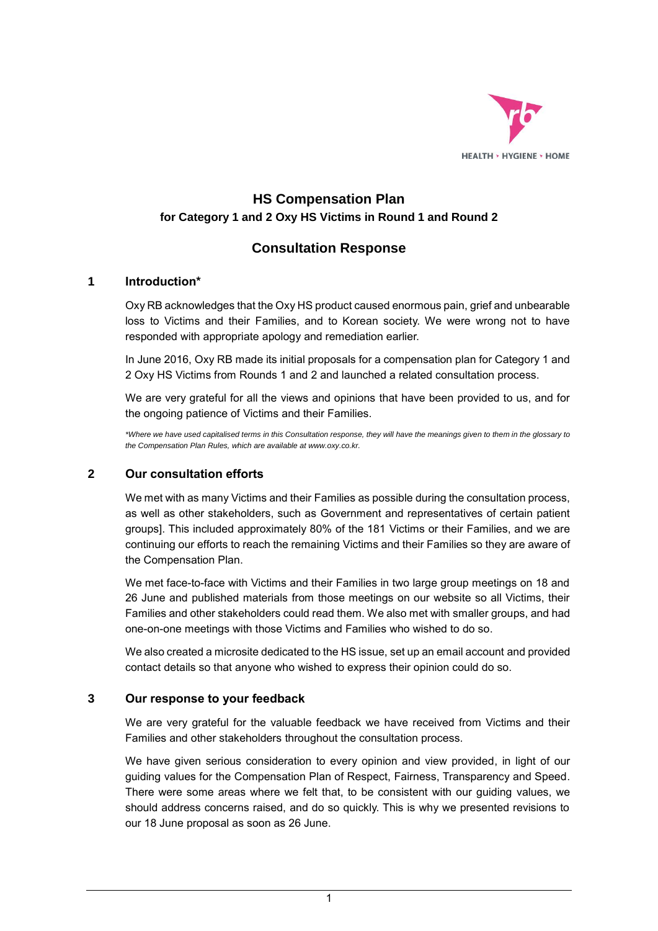

# **HS Compensation Plan for Category 1 and 2 Oxy HS Victims in Round 1 and Round 2**

## **Consultation Response**

#### **1 Introduction\***

Oxy RB acknowledges that the Oxy HS product caused enormous pain, grief and unbearable loss to Victims and their Families, and to Korean society. We were wrong not to have responded with appropriate apology and remediation earlier.

In June 2016, Oxy RB made its initial proposals for a compensation plan for Category 1 and 2 Oxy HS Victims from Rounds 1 and 2 and launched a related consultation process.

We are very grateful for all the views and opinions that have been provided to us, and for the ongoing patience of Victims and their Families.

*\*Where we have used capitalised terms in this Consultation response, they will have the meanings given to them in the glossary to the Compensation Plan Rules, which are available at www.oxy.co.kr.* 

### **2 Our consultation efforts**

We met with as many Victims and their Families as possible during the consultation process, as well as other stakeholders, such as Government and representatives of certain patient groups]. This included approximately 80% of the 181 Victims or their Families, and we are continuing our efforts to reach the remaining Victims and their Families so they are aware of the Compensation Plan.

We met face-to-face with Victims and their Families in two large group meetings on 18 and 26 June and published materials from those meetings on our website so all Victims, their Families and other stakeholders could read them. We also met with smaller groups, and had one-on-one meetings with those Victims and Families who wished to do so.

We also created a microsite dedicated to the HS issue, set up an email account and provided contact details so that anyone who wished to express their opinion could do so.

#### **3 Our response to your feedback**

We are very grateful for the valuable feedback we have received from Victims and their Families and other stakeholders throughout the consultation process.

We have given serious consideration to every opinion and view provided, in light of our guiding values for the Compensation Plan of Respect, Fairness, Transparency and Speed. There were some areas where we felt that, to be consistent with our guiding values, we should address concerns raised, and do so quickly. This is why we presented revisions to our 18 June proposal as soon as 26 June.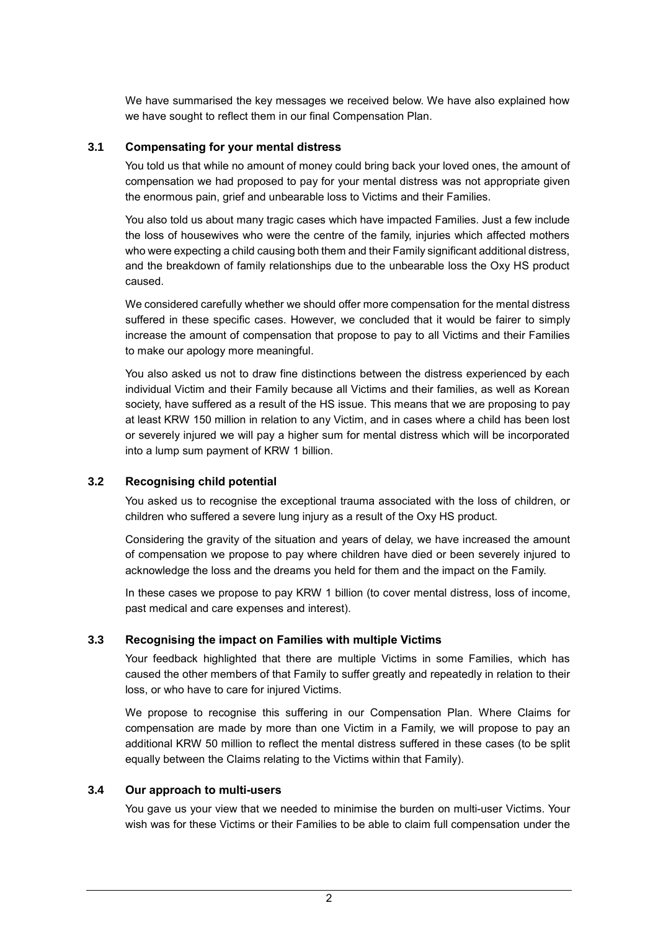We have summarised the key messages we received below. We have also explained how we have sought to reflect them in our final Compensation Plan.

#### **3.1 Compensating for your mental distress**

You told us that while no amount of money could bring back your loved ones, the amount of compensation we had proposed to pay for your mental distress was not appropriate given the enormous pain, grief and unbearable loss to Victims and their Families.

You also told us about many tragic cases which have impacted Families. Just a few include the loss of housewives who were the centre of the family, injuries which affected mothers who were expecting a child causing both them and their Family significant additional distress, and the breakdown of family relationships due to the unbearable loss the Oxy HS product caused.

We considered carefully whether we should offer more compensation for the mental distress suffered in these specific cases. However, we concluded that it would be fairer to simply increase the amount of compensation that propose to pay to all Victims and their Families to make our apology more meaningful.

You also asked us not to draw fine distinctions between the distress experienced by each individual Victim and their Family because all Victims and their families, as well as Korean society, have suffered as a result of the HS issue. This means that we are proposing to pay at least KRW 150 million in relation to any Victim, and in cases where a child has been lost or severely injured we will pay a higher sum for mental distress which will be incorporated into a lump sum payment of KRW 1 billion.

#### **3.2 Recognising child potential**

You asked us to recognise the exceptional trauma associated with the loss of children, or children who suffered a severe lung injury as a result of the Oxy HS product.

Considering the gravity of the situation and years of delay, we have increased the amount of compensation we propose to pay where children have died or been severely injured to acknowledge the loss and the dreams you held for them and the impact on the Family.

In these cases we propose to pay KRW 1 billion (to cover mental distress, loss of income, past medical and care expenses and interest).

#### **3.3 Recognising the impact on Families with multiple Victims**

Your feedback highlighted that there are multiple Victims in some Families, which has caused the other members of that Family to suffer greatly and repeatedly in relation to their loss, or who have to care for injured Victims.

We propose to recognise this suffering in our Compensation Plan. Where Claims for compensation are made by more than one Victim in a Family, we will propose to pay an additional KRW 50 million to reflect the mental distress suffered in these cases (to be split equally between the Claims relating to the Victims within that Family).

#### **3.4 Our approach to multi-users**

You gave us your view that we needed to minimise the burden on multi-user Victims. Your wish was for these Victims or their Families to be able to claim full compensation under the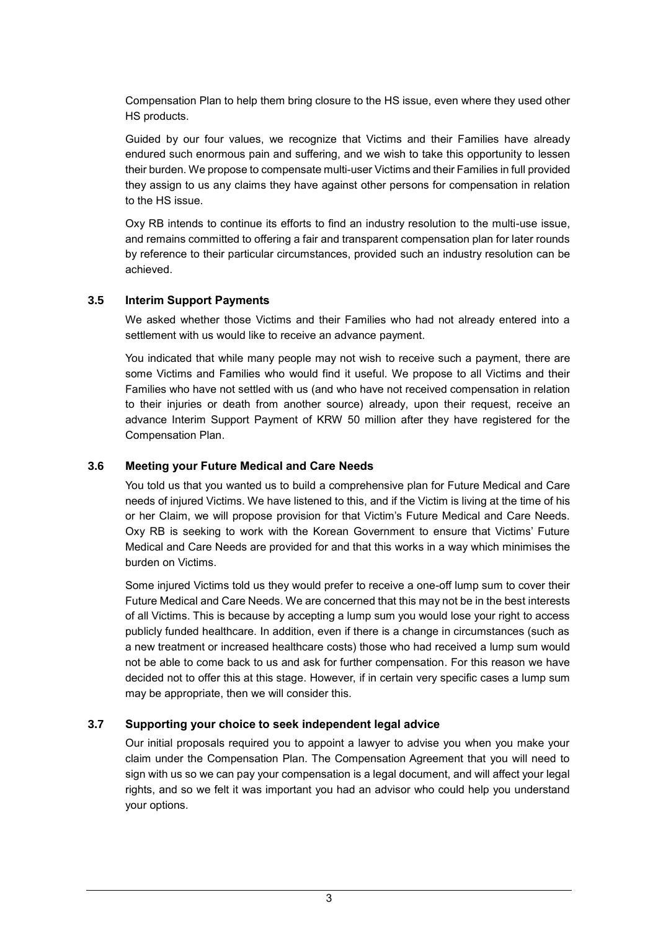Compensation Plan to help them bring closure to the HS issue, even where they used other HS products.

Guided by our four values, we recognize that Victims and their Families have already endured such enormous pain and suffering, and we wish to take this opportunity to lessen their burden. We propose to compensate multi-user Victims and their Families in full provided they assign to us any claims they have against other persons for compensation in relation to the HS issue.

Oxy RB intends to continue its efforts to find an industry resolution to the multi-use issue, and remains committed to offering a fair and transparent compensation plan for later rounds by reference to their particular circumstances, provided such an industry resolution can be achieved.

#### **3.5 Interim Support Payments**

We asked whether those Victims and their Families who had not already entered into a settlement with us would like to receive an advance payment.

You indicated that while many people may not wish to receive such a payment, there are some Victims and Families who would find it useful. We propose to all Victims and their Families who have not settled with us (and who have not received compensation in relation to their injuries or death from another source) already, upon their request, receive an advance Interim Support Payment of KRW 50 million after they have registered for the Compensation Plan.

#### **3.6 Meeting your Future Medical and Care Needs**

You told us that you wanted us to build a comprehensive plan for Future Medical and Care needs of injured Victims. We have listened to this, and if the Victim is living at the time of his or her Claim, we will propose provision for that Victim's Future Medical and Care Needs. Oxy RB is seeking to work with the Korean Government to ensure that Victims' Future Medical and Care Needs are provided for and that this works in a way which minimises the burden on Victims.

Some injured Victims told us they would prefer to receive a one-off lump sum to cover their Future Medical and Care Needs. We are concerned that this may not be in the best interests of all Victims. This is because by accepting a lump sum you would lose your right to access publicly funded healthcare. In addition, even if there is a change in circumstances (such as a new treatment or increased healthcare costs) those who had received a lump sum would not be able to come back to us and ask for further compensation. For this reason we have decided not to offer this at this stage. However, if in certain very specific cases a lump sum may be appropriate, then we will consider this.

#### **3.7 Supporting your choice to seek independent legal advice**

Our initial proposals required you to appoint a lawyer to advise you when you make your claim under the Compensation Plan. The Compensation Agreement that you will need to sign with us so we can pay your compensation is a legal document, and will affect your legal rights, and so we felt it was important you had an advisor who could help you understand your options.